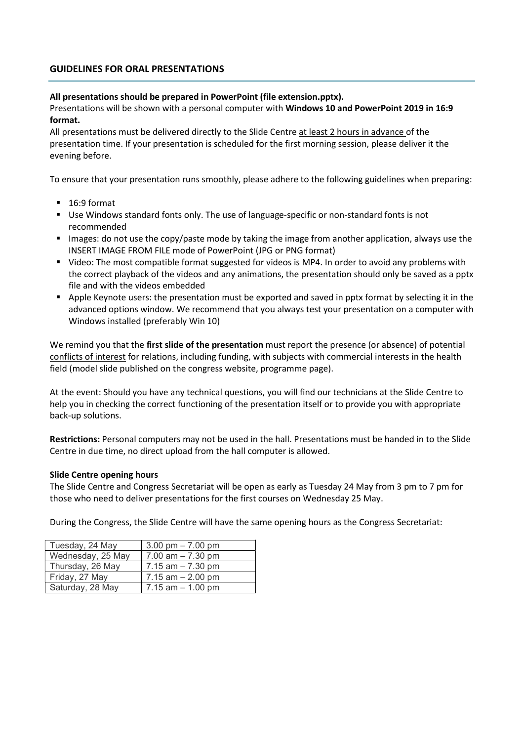# GUIDELINES FOR ORAL PRESENTATIONS

### All presentations should be prepared in PowerPoint (file extension.pptx).

Presentations will be shown with a personal computer with Windows 10 and PowerPoint 2019 in 16:9 format.

All presentations must be delivered directly to the Slide Centre at least 2 hours in advance of the presentation time. If your presentation is scheduled for the first morning session, please deliver it the evening before.

To ensure that your presentation runs smoothly, please adhere to the following guidelines when preparing:

- 16:9 format
- Use Windows standard fonts only. The use of language-specific or non-standard fonts is not recommended
- Images: do not use the copy/paste mode by taking the image from another application, always use the INSERT IMAGE FROM FILE mode of PowerPoint (JPG or PNG format)
- Video: The most compatible format suggested for videos is MP4. In order to avoid any problems with the correct playback of the videos and any animations, the presentation should only be saved as a pptx file and with the videos embedded
- Apple Keynote users: the presentation must be exported and saved in pptx format by selecting it in the advanced options window. We recommend that you always test your presentation on a computer with Windows installed (preferably Win 10)

We remind you that the first slide of the presentation must report the presence (or absence) of potential conflicts of interest for relations, including funding, with subjects with commercial interests in the health field (model slide published on the congress website, programme page).

At the event: Should you have any technical questions, you will find our technicians at the Slide Centre to help you in checking the correct functioning of the presentation itself or to provide you with appropriate back-up solutions.

Restrictions: Personal computers may not be used in the hall. Presentations must be handed in to the Slide Centre in due time, no direct upload from the hall computer is allowed.

### Slide Centre opening hours

The Slide Centre and Congress Secretariat will be open as early as Tuesday 24 May from 3 pm to 7 pm for those who need to deliver presentations for the first courses on Wednesday 25 May.

During the Congress, the Slide Centre will have the same opening hours as the Congress Secretariat:

| Tuesday, 24 May   | 3.00 pm $- 7.00$ pm  |
|-------------------|----------------------|
| Wednesday, 25 May | 7.00 $am - 7.30$ pm  |
| Thursday, 26 May  | $7.15$ am $-7.30$ pm |
| Friday, 27 May    | 7.15 $am - 2.00 pm$  |
| Saturday, 28 May  | $7.15$ am $-1.00$ pm |